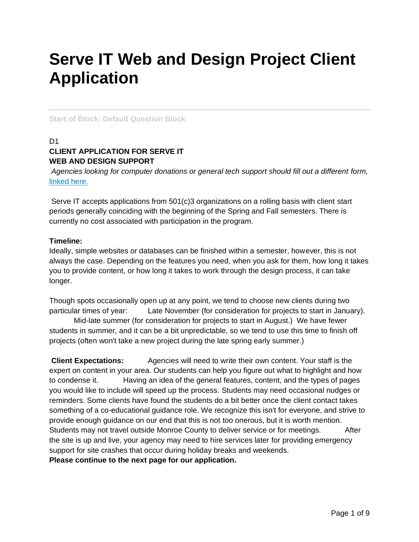# **Serve IT Web and Design Project Client Application**

**Start of Block: Default Question Block**

## $D<sub>1</sub>$ **CLIENT APPLICATION FOR SERVE IT WEB AND DESIGN SUPPORT**

*Agencies looking for computer donations or general tech support should fill out a different form,*  [linked here.](https://forms.gle/bKXKWxj93szYAvtT7)

Serve IT accepts applications from 501(c)3 organizations on a rolling basis with client start periods generally coinciding with the beginning of the Spring and Fall semesters. There is currently no cost associated with participation in the program.

#### **Timeline:**

Ideally, simple websites or databases can be finished within a semester, however, this is not always the case. Depending on the features you need, when you ask for them, how long it takes you to provide content, or how long it takes to work through the design process, it can take longer.

Though spots occasionally open up at any point, we tend to choose new clients during two particular times of year: Late November (for consideration for projects to start in January).

Mid-late summer (for consideration for projects to start in August.) We have fewer students in summer, and it can be a bit unpredictable, so we tend to use this time to finish off projects (often won't take a new project during the late spring early summer.)

**Client Expectations:** Agencies will need to write their own content. Your staff is the expert on content in your area. Our students can help you figure out what to highlight and how to condense it. Having an idea of the general features, content, and the types of pages you would like to include will speed up the process. Students may need occasional nudges or reminders. Some clients have found the students do a bit better once the client contact takes something of a co-educational guidance role. We recognize this isn't for everyone, and strive to provide enough guidance on our end that this is not too onerous, but it is worth mention. Students may not travel outside Monroe County to deliver service or for meetings. After the site is up and live, your agency may need to hire services later for providing emergency support for site crashes that occur during holiday breaks and weekends. **Please continue to the next page for our application.**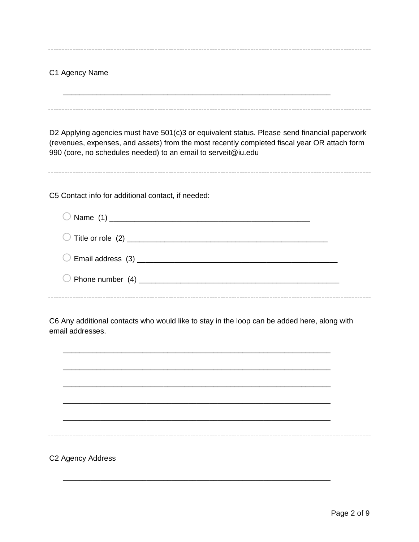## C1 Agency Name

\_\_\_\_\_\_\_\_\_\_\_\_\_\_\_\_\_\_\_\_\_\_\_\_\_\_\_\_\_\_\_\_\_\_\_\_\_\_\_\_\_\_\_\_\_\_\_\_\_\_\_\_\_\_\_\_\_\_\_\_\_\_\_\_

D2 Applying agencies must have 501(c)3 or equivalent status. Please send financial paperwork (revenues, expenses, and assets) from the most recently completed fiscal year OR attach form 990 (core, no schedules needed) to an email to serveit@iu.edu

C5 Contact info for additional contact, if needed:

C6 Any additional contacts who would like to stay in the loop can be added here, along with email addresses.



\_\_\_\_\_\_\_\_\_\_\_\_\_\_\_\_\_\_\_\_\_\_\_\_\_\_\_\_\_\_\_\_\_\_\_\_\_\_\_\_\_\_\_\_\_\_\_\_\_\_\_\_\_\_\_\_\_\_\_\_\_\_\_\_

C2 Agency Address

 $- - -$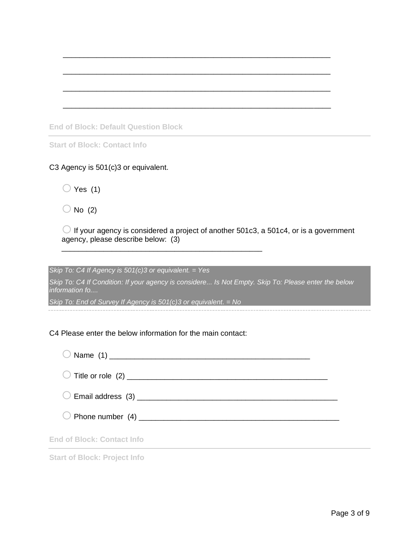|  |  |  | <b>End of Block: Default Question Block</b> |  |
|--|--|--|---------------------------------------------|--|
|--|--|--|---------------------------------------------|--|

**Start of Block: Contact Info**

### C3 Agency is 501(c)3 or equivalent.

 $\bigcirc$  Yes (1)

 $\bigcirc$  No (2)

 $\bigcirc$  If your agency is considered a project of another 501c3, a 501c4, or is a government agency, please describe below: (3)

\_\_\_\_\_\_\_\_\_\_\_\_\_\_\_\_\_\_\_\_\_\_\_\_\_\_\_\_\_\_\_\_\_\_\_\_\_\_\_\_\_\_\_\_\_\_\_\_\_\_\_\_\_\_\_\_\_\_\_\_\_\_\_\_

\_\_\_\_\_\_\_\_\_\_\_\_\_\_\_\_\_\_\_\_\_\_\_\_\_\_\_\_\_\_\_\_\_\_\_\_\_\_\_\_\_\_\_\_\_\_\_\_\_\_\_\_\_\_\_\_\_\_\_\_\_\_\_\_

\_\_\_\_\_\_\_\_\_\_\_\_\_\_\_\_\_\_\_\_\_\_\_\_\_\_\_\_\_\_\_\_\_\_\_\_\_\_\_\_\_\_\_\_\_\_\_\_\_\_\_\_\_\_\_\_\_\_\_\_\_\_\_\_

\_\_\_\_\_\_\_\_\_\_\_\_\_\_\_\_\_\_\_\_\_\_\_\_\_\_\_\_\_\_\_\_\_\_\_\_\_\_\_\_\_\_\_\_\_\_\_\_\_\_\_\_\_\_\_\_\_\_\_\_\_\_\_\_

*Skip To: C4 If Agency is 501(c)3 or equivalent. = Yes*

*Skip To: C4 If Condition: If your agency is considere... Is Not Empty. Skip To: Please enter the below information fo....*

*Skip To: End of Survey If Agency is 501(c)3 or equivalent. = No*

\_\_\_\_\_\_\_\_\_\_\_\_\_\_\_\_\_\_\_\_\_\_\_\_\_\_\_\_\_\_\_\_\_\_\_\_\_\_\_\_\_\_\_\_\_\_\_\_

#### C4 Please enter the below information for the main contact:

| <b>End of Block: Contact Info</b> |  |
|-----------------------------------|--|

**Start of Block: Project Info**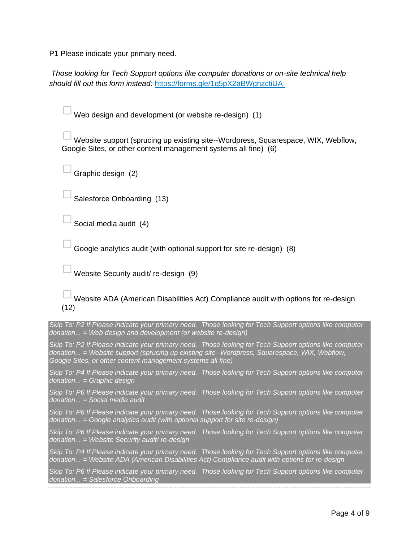P1 Please indicate your primary need.

*Those looking for Tech Support options like computer donations or on-site technical help should fill out this form instead:* <https://forms.gle/1q5pX2aBWgnzctiUA>

Web design and development (or website re-design) (1)

Website support (sprucing up existing site--Wordpress, Squarespace, WIX, Webflow, Google Sites, or other content management systems all fine) (6)

Graphic design (2)

Salesforce Onboarding (13)

Social media audit (4)

Google analytics audit (with optional support for site re-design) (8)

▢Website Security audit/ re-design (9)

Website ADA (American Disabilities Act) Compliance audit with options for re-design (12)

*Skip To: P2 If Please indicate your primary need. Those looking for Tech Support options like computer donation... = Web design and development (or website re-design)*

*Skip To: P2 If Please indicate your primary need. Those looking for Tech Support options like computer donation... = Website support (sprucing up existing site--Wordpress, Squarespace, WIX, Webflow, Google Sites, or other content management systems all fine)*

*Skip To: P4 If Please indicate your primary need. Those looking for Tech Support options like computer donation... = Graphic design*

*Skip To: P6 If Please indicate your primary need. Those looking for Tech Support options like computer donation... = Social media audit*

*Skip To: P6 If Please indicate your primary need. Those looking for Tech Support options like computer donation... = Google analytics audit (with optional support for site re-design)*

*Skip To: P6 If Please indicate your primary need. Those looking for Tech Support options like computer donation... = Website Security audit/ re-design*

*Skip To: P4 If Please indicate your primary need. Those looking for Tech Support options like computer donation... = Website ADA (American Disabilities Act) Compliance audit with options for re-design*

*Skip To: P6 If Please indicate your primary need. Those looking for Tech Support options like computer donation... = Salesforce Onboarding*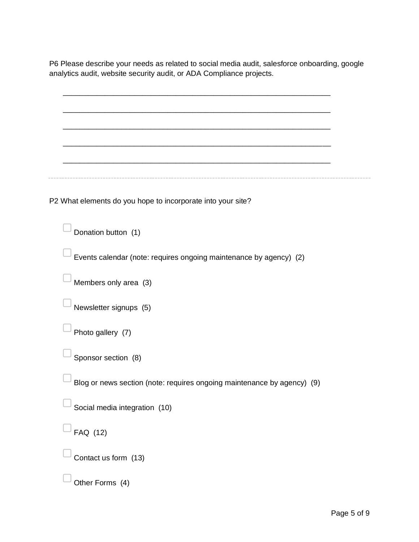P6 Please describe your needs as related to social media audit, salesforce onboarding, google analytics audit, website security audit, or ADA Compliance projects.

| P2 What elements do you hope to incorporate into your site?             |  |
|-------------------------------------------------------------------------|--|
| Donation button (1)                                                     |  |
| Events calendar (note: requires ongoing maintenance by agency) (2)      |  |
| Members only area (3)                                                   |  |
| Newsletter signups (5)                                                  |  |
| Photo gallery (7)                                                       |  |
| Sponsor section (8)                                                     |  |
| Blog or news section (note: requires ongoing maintenance by agency) (9) |  |
| Social media integration (10)                                           |  |
| FAQ (12)                                                                |  |
| Contact us form (13)                                                    |  |
| Other Forms (4)                                                         |  |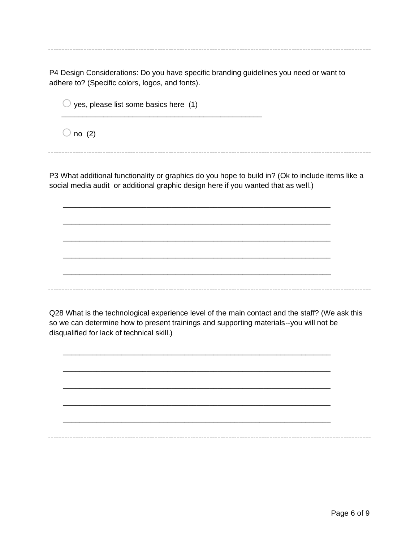P4 Design Considerations: Do you have specific branding guidelines you need or want to adhere to? (Specific colors, logos, and fonts).

 $\bigcirc$  yes, please list some basics here (1)

\_\_\_\_\_\_\_\_\_\_\_\_\_\_\_\_\_\_\_\_\_\_\_\_\_\_\_\_\_\_\_\_\_\_\_\_\_\_\_\_\_\_\_\_\_\_\_\_

 $\bigcirc$  no (2)

P3 What additional functionality or graphics do you hope to build in? (Ok to include items like a social media audit or additional graphic design here if you wanted that as well.)

\_\_\_\_\_\_\_\_\_\_\_\_\_\_\_\_\_\_\_\_\_\_\_\_\_\_\_\_\_\_\_\_\_\_\_\_\_\_\_\_\_\_\_\_\_\_\_\_\_\_\_\_\_\_\_\_\_\_\_\_\_\_\_\_

\_\_\_\_\_\_\_\_\_\_\_\_\_\_\_\_\_\_\_\_\_\_\_\_\_\_\_\_\_\_\_\_\_\_\_\_\_\_\_\_\_\_\_\_\_\_\_\_\_\_\_\_\_\_\_\_\_\_\_\_\_\_\_\_

\_\_\_\_\_\_\_\_\_\_\_\_\_\_\_\_\_\_\_\_\_\_\_\_\_\_\_\_\_\_\_\_\_\_\_\_\_\_\_\_\_\_\_\_\_\_\_\_\_\_\_\_\_\_\_\_\_\_\_\_\_\_\_\_

\_\_\_\_\_\_\_\_\_\_\_\_\_\_\_\_\_\_\_\_\_\_\_\_\_\_\_\_\_\_\_\_\_\_\_\_\_\_\_\_\_\_\_\_\_\_\_\_\_\_\_\_\_\_\_\_\_\_\_\_\_\_\_\_

\_\_\_\_\_\_\_\_\_\_\_\_\_\_\_\_\_\_\_\_\_\_\_\_\_\_\_\_\_\_\_\_\_\_\_\_\_\_\_\_\_\_\_\_\_\_\_\_\_\_\_\_\_\_\_\_\_\_\_\_\_\_\_\_

Q28 What is the technological experience level of the main contact and the staff? (We ask this so we can determine how to present trainings and supporting materials--you will not be disqualified for lack of technical skill.)

\_\_\_\_\_\_\_\_\_\_\_\_\_\_\_\_\_\_\_\_\_\_\_\_\_\_\_\_\_\_\_\_\_\_\_\_\_\_\_\_\_\_\_\_\_\_\_\_\_\_\_\_\_\_\_\_\_\_\_\_\_\_\_\_

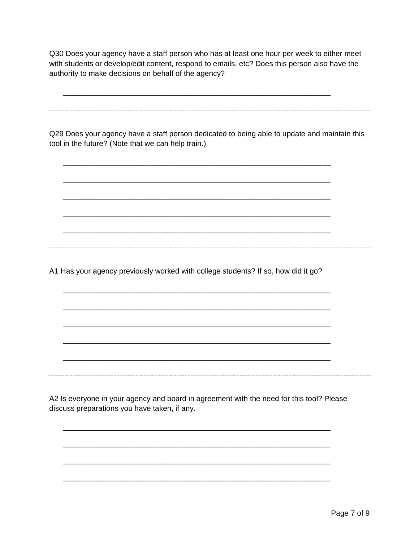Q30 Does your agency have a staff person who has at least one hour per week to either meet with students or develop/edit content, respond to emails, etc? Does this person also have the authority to make decisions on behalf of the agency?

\_\_\_\_\_\_\_\_\_\_\_\_\_\_\_\_\_\_\_\_\_\_\_\_\_\_\_\_\_\_\_\_\_\_\_\_\_\_\_\_\_\_\_\_\_\_\_\_\_\_\_\_\_\_\_\_\_\_\_\_\_\_\_\_

\_\_\_\_\_\_\_\_\_\_\_\_\_\_\_\_\_\_\_\_\_\_\_\_\_\_\_\_\_\_\_\_\_\_\_\_\_\_\_\_\_\_\_\_\_\_\_\_\_\_\_\_\_\_\_\_\_\_\_\_\_\_\_\_

\_\_\_\_\_\_\_\_\_\_\_\_\_\_\_\_\_\_\_\_\_\_\_\_\_\_\_\_\_\_\_\_\_\_\_\_\_\_\_\_\_\_\_\_\_\_\_\_\_\_\_\_\_\_\_\_\_\_\_\_\_\_\_\_

\_\_\_\_\_\_\_\_\_\_\_\_\_\_\_\_\_\_\_\_\_\_\_\_\_\_\_\_\_\_\_\_\_\_\_\_\_\_\_\_\_\_\_\_\_\_\_\_\_\_\_\_\_\_\_\_\_\_\_\_\_\_\_\_

\_\_\_\_\_\_\_\_\_\_\_\_\_\_\_\_\_\_\_\_\_\_\_\_\_\_\_\_\_\_\_\_\_\_\_\_\_\_\_\_\_\_\_\_\_\_\_\_\_\_\_\_\_\_\_\_\_\_\_\_\_\_\_\_

\_\_\_\_\_\_\_\_\_\_\_\_\_\_\_\_\_\_\_\_\_\_\_\_\_\_\_\_\_\_\_\_\_\_\_\_\_\_\_\_\_\_\_\_\_\_\_\_\_\_\_\_\_\_\_\_\_\_\_\_\_\_\_\_

\_\_\_\_\_\_\_\_\_\_\_\_\_\_\_\_\_\_\_\_\_\_\_\_\_\_\_\_\_\_\_\_\_\_\_\_\_\_\_\_\_\_\_\_\_\_\_\_\_\_\_\_\_\_\_\_\_\_\_\_\_\_\_\_

\_\_\_\_\_\_\_\_\_\_\_\_\_\_\_\_\_\_\_\_\_\_\_\_\_\_\_\_\_\_\_\_\_\_\_\_\_\_\_\_\_\_\_\_\_\_\_\_\_\_\_\_\_\_\_\_\_\_\_\_\_\_\_\_

\_\_\_\_\_\_\_\_\_\_\_\_\_\_\_\_\_\_\_\_\_\_\_\_\_\_\_\_\_\_\_\_\_\_\_\_\_\_\_\_\_\_\_\_\_\_\_\_\_\_\_\_\_\_\_\_\_\_\_\_\_\_\_\_

\_\_\_\_\_\_\_\_\_\_\_\_\_\_\_\_\_\_\_\_\_\_\_\_\_\_\_\_\_\_\_\_\_\_\_\_\_\_\_\_\_\_\_\_\_\_\_\_\_\_\_\_\_\_\_\_\_\_\_\_\_\_\_\_

\_\_\_\_\_\_\_\_\_\_\_\_\_\_\_\_\_\_\_\_\_\_\_\_\_\_\_\_\_\_\_\_\_\_\_\_\_\_\_\_\_\_\_\_\_\_\_\_\_\_\_\_\_\_\_\_\_\_\_\_\_\_\_\_

Q29 Does your agency have a staff person dedicated to being able to update and maintain this tool in the future? (Note that we can help train.)

A1 Has your agency previously worked with college students? If so, how did it go?

A2 Is everyone in your agency and board in agreement with the need for this tool? Please discuss preparations you have taken, if any.

\_\_\_\_\_\_\_\_\_\_\_\_\_\_\_\_\_\_\_\_\_\_\_\_\_\_\_\_\_\_\_\_\_\_\_\_\_\_\_\_\_\_\_\_\_\_\_\_\_\_\_\_\_\_\_\_\_\_\_\_\_\_\_\_

\_\_\_\_\_\_\_\_\_\_\_\_\_\_\_\_\_\_\_\_\_\_\_\_\_\_\_\_\_\_\_\_\_\_\_\_\_\_\_\_\_\_\_\_\_\_\_\_\_\_\_\_\_\_\_\_\_\_\_\_\_\_\_\_

\_\_\_\_\_\_\_\_\_\_\_\_\_\_\_\_\_\_\_\_\_\_\_\_\_\_\_\_\_\_\_\_\_\_\_\_\_\_\_\_\_\_\_\_\_\_\_\_\_\_\_\_\_\_\_\_\_\_\_\_\_\_\_\_

\_\_\_\_\_\_\_\_\_\_\_\_\_\_\_\_\_\_\_\_\_\_\_\_\_\_\_\_\_\_\_\_\_\_\_\_\_\_\_\_\_\_\_\_\_\_\_\_\_\_\_\_\_\_\_\_\_\_\_\_\_\_\_\_

-----------